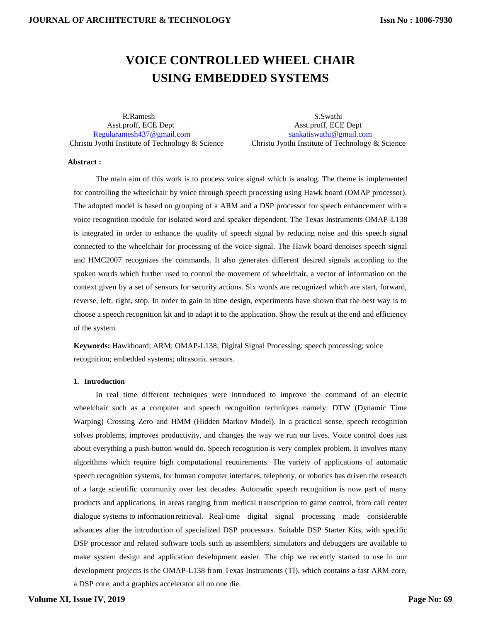# **VOICE CONTROLLED WHEEL CHAIR USING EMBEDDED SYSTEMS**

R.Ramesh S.Swathi Asst.proff, ECE Dept Asst.proff, ECE Dept [Regularamesh437@gmail.com](mailto:Regularamesh437@gmail.com) [sankatiswathi@gmail.com](mailto:sankatiswathi@gmail.com)

Christu Jyothi Institute of Technology & Science Christu Jyothi Institute of Technology & Science

#### **Abstract :**

The main aim of this work is to process voice signal which is analog. The theme is implemented for controlling the wheelchair by voice through speech processing using Hawk board (OMAP processor). The adopted model is based on grouping of a ARM and a DSP processor for speech enhancement with a voice recognition module for isolated word and speaker dependent. The Texas Instruments OMAP-L138 is integrated in order to enhance the quality of speech signal by reducing noise and this speech signal connected to the wheelchair for processing of the voice signal. The Hawk board denoises speech signal and HMC2007 recognizes the commands. It also generates different desired signals according to the spoken words which further used to control the movement of wheelchair, a vector of information on the context given by a set of sensors for security actions. Six words are recognized which are start, forward, reverse, left, right, stop. In order to gain in time design, experiments have shown that the best way is to choose a speech recognition kit and to adapt it to the application. Show the result at the end and efficiency of the system.

**Keywords:** Hawkboard; ARM; OMAP-L138; Digital Signal Processing; speech processing; voice recognition; embedded systems; ultrasonic sensors*.*

## **1. Introduction**

In real time different techniques were introduced to improve the command of an electric wheelchair such as a computer and speech recognition techniques namely: DTW (Dynamic Time Warping) Crossing Zero and HMM (Hidden Markov Model). In a practical sense, speech recognition solves problems, improves productivity, and changes the way we run our lives. Voice control does just about everything a push-button would do. Speech recognition is very complex problem. It involves many algorithms which require high computational requirements. The variety of applications of automatic speech recognition systems, for human computer interfaces, telephony, or robotics has driven the research of a large scientific community over last decades. Automatic speech recognition is now part of many products and applications, in areas ranging from medical transcription to game control, from call center dialogue systems to informationretrieval. Real-time digital signal processing made considerable advances after the introduction of specialized DSP processors. Suitable DSP Starter Kits, with specific DSP processor and related software tools such as assemblers, simulators and debuggers are available to make system design and application development easier. The chip we recently started to use in our development projects is the OMAP-L138 from Texas Instruments (TI), which contains a fast ARM core,

a DSP core, and a graphics accelerator all on one die.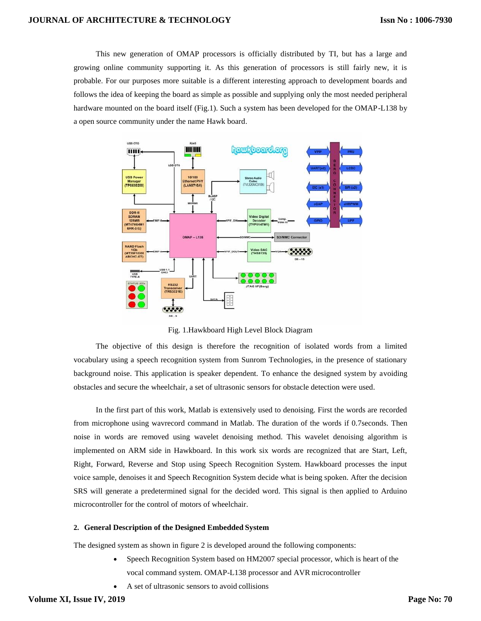This new generation of OMAP processors is officially distributed by TI, but has a large and growing online community supporting it. As this generation of processors is still fairly new, it is probable. For our purposes more suitable is a different interesting approach to development boards and follows the idea of keeping the board as simple as possible and supplying only the most needed peripheral hardware mounted on the board itself (Fig.1). Such a system has been developed for the OMAP-L138 by a open source community under the name Hawk board.



Fig. 1.Hawkboard High Level Block Diagram

The objective of this design is therefore the recognition of isolated words from a limited vocabulary using a speech recognition system from Sunrom Technologies, in the presence of stationary background noise. This application is speaker dependent. To enhance the designed system by avoiding obstacles and secure the wheelchair, a set of ultrasonic sensors for obstacle detection were used.

In the first part of this work, Matlab is extensively used to denoising. First the words are recorded from microphone using wavrecord command in Matlab. The duration of the words if 0.7seconds. Then noise in words are removed using wavelet denoising method. This wavelet denoising algorithm is implemented on ARM side in Hawkboard. In this work six words are recognized that are Start, Left, Right, Forward, Reverse and Stop using Speech Recognition System. Hawkboard processes the input voice sample, denoises it and Speech Recognition System decide what is being spoken. After the decision SRS will generate a predetermined signal for the decided word. This signal is then applied to Arduino microcontroller for the control of motors of wheelchair.

#### **2. General Description of the Designed Embedded System**

The designed system as shown in figure 2 is developed around the following components:

- Speech Recognition System based on HM2007 special processor, which is heart of the vocal command system. OMAP-L138 processor and AVR microcontroller
- A set of ultrasonic sensors to avoid collisions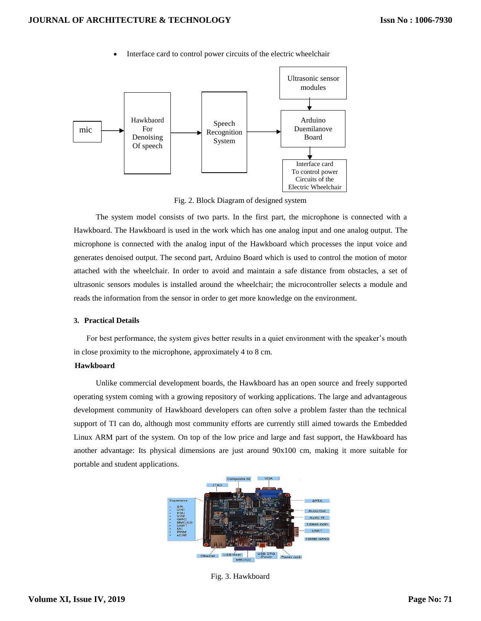

Interface card to control power circuits of the electric wheelchair

Fig. 2. Block Diagram of designed system

The system model consists of two parts. In the first part, the microphone is connected with a Hawkboard. The Hawkboard is used in the work which has one analog input and one analog output. The microphone is connected with the analog input of the Hawkboard which processes the input voice and generates denoised output. The second part, Arduino Board which is used to control the motion of motor attached with the wheelchair. In order to avoid and maintain a safe distance from obstacles, a set of ultrasonic sensors modules is installed around the wheelchair; the microcontroller selects a module and reads the information from the sensor in order to get more knowledge on the environment.

## **3. Practical Details**

For best performance, the system gives better results in a quiet environment with the speaker's mouth in close proximity to the microphone, approximately 4 to 8 cm.

#### **Hawkboard**

Unlike commercial development boards, the Hawkboard has an open source and freely supported operating system coming with a growing repository of working applications. The large and advantageous development community of Hawkboard developers can often solve a problem faster than the technical support of TI can do, although most community efforts are currently still aimed towards the Embedded Linux ARM part of the system. On top of the low price and large and fast support, the Hawkboard has another advantage: Its physical dimensions are just around 90x100 cm, making it more suitable for portable and student applications.



Fig. 3. Hawkboard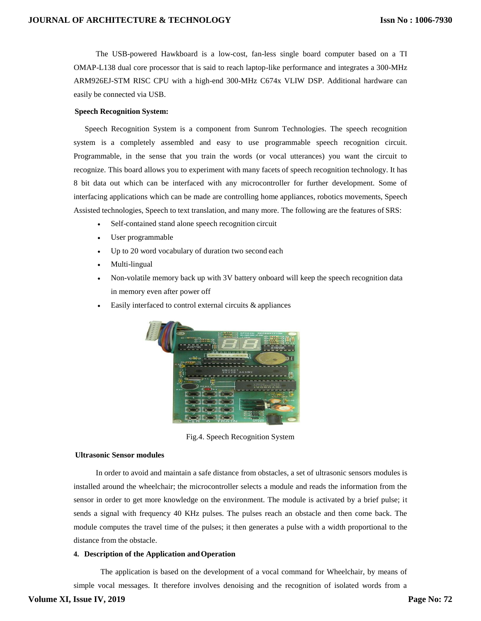The USB-powered Hawkboard is a low-cost, fan-less single board computer based on a TI OMAP-L138 dual core processor that is said to reach laptop-like performance and integrates a 300-MHz ARM926EJ-STM RISC CPU with a high-end 300-MHz C674x VLIW DSP. Additional hardware can easily be connected via USB.

## **Speech Recognition System:**

Speech Recognition System is a component from Sunrom Technologies. The speech recognition system is a completely assembled and easy to use programmable speech recognition circuit. Programmable, in the sense that you train the words (or vocal utterances) you want the circuit to recognize. This board allows you to experiment with many facets of speech recognition technology. It has 8 bit data out which can be interfaced with any microcontroller for further development. Some of interfacing applications which can be made are controlling home appliances, robotics movements, Speech Assisted technologies, Speech to text translation, and many more. The following are the features of SRS:

- Self-contained stand alone speech recognition circuit
- User programmable
- Up to 20 word vocabulary of duration two second each
- Multi-lingual
- Non-volatile memory back up with 3V battery onboard will keep the speech recognition data in memory even after power off
- Easily interfaced to control external circuits & appliances



Fig.4. Speech Recognition System

#### **Ultrasonic Sensor modules**

In order to avoid and maintain a safe distance from obstacles, a set of ultrasonic sensors modules is installed around the wheelchair; the microcontroller selects a module and reads the information from the sensor in order to get more knowledge on the environment. The module is activated by a brief pulse; it sends a signal with frequency 40 KHz pulses. The pulses reach an obstacle and then come back. The module computes the travel time of the pulses; it then generates a pulse with a width proportional to the distance from the obstacle.

#### **4. Description of the Application and Operation**

 The application is based on the development of a vocal command for Wheelchair, by means of simple vocal messages. It therefore involves denoising and the recognition of isolated words from a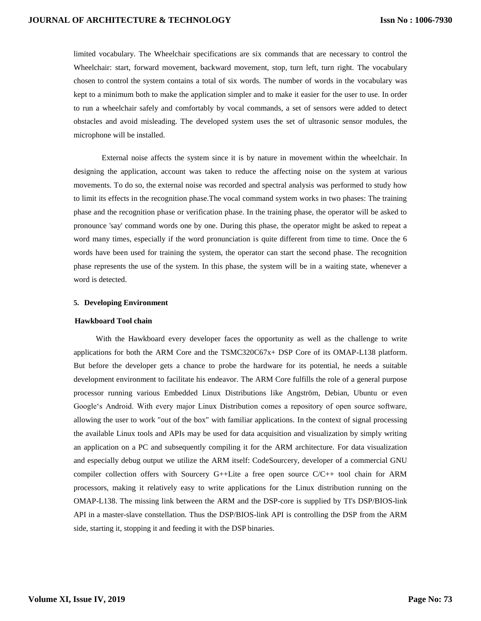limited vocabulary. The Wheelchair specifications are six commands that are necessary to control the Wheelchair: start, forward movement, backward movement, stop, turn left, turn right. The vocabulary chosen to control the system contains a total of six words. The number of words in the vocabulary was kept to a minimum both to make the application simpler and to make it easier for the user to use. In order to run a wheelchair safely and comfortably by vocal commands, a set of sensors were added to detect obstacles and avoid misleading. The developed system uses the set of ultrasonic sensor modules, the microphone will be installed.

 External noise affects the system since it is by nature in movement within the wheelchair. In designing the application, account was taken to reduce the affecting noise on the system at various movements. To do so, the external noise was recorded and spectral analysis was performed to study how to limit its effects in the recognition phase.The vocal command system works in two phases: The training phase and the recognition phase or verification phase. In the training phase, the operator will be asked to pronounce 'say' command words one by one. During this phase, the operator might be asked to repeat a word many times, especially if the word pronunciation is quite different from time to time. Once the 6 words have been used for training the system, the operator can start the second phase. The recognition phase represents the use of the system. In this phase, the system will be in a waiting state, whenever a word is detected.

#### **5. Developing Environment**

#### **Hawkboard Tool chain**

With the Hawkboard every developer faces the opportunity as well as the challenge to write applications for both the ARM Core and the TSMC320C67x+ DSP Core of its OMAP-L138 platform. But before the developer gets a chance to probe the hardware for its potential, he needs a suitable development environment to facilitate his endeavor. The ARM Core fulfills the role of a general purpose processor running various Embedded Linux Distributions like Angström, Debian, Ubuntu or even Google"s Android. With every major Linux Distribution comes a repository of open source software, allowing the user to work "out of the box" with familiar applications. In the context of signal processing the available Linux tools and APIs may be used for data acquisition and visualization by simply writing an application on a PC and subsequently compiling it for the ARM architecture. For data visualization and especially debug output we utilize the ARM itself: CodeSourcery, developer of a commercial GNU compiler collection offers with Sourcery  $G++$ Lite a free open source  $C/C++$  tool chain for ARM processors, making it relatively easy to write applications for the Linux distribution running on the OMAP-L138. The missing link between the ARM and the DSP-core is supplied by TI's DSP/BIOS-link API in a master-slave constellation. Thus the DSP/BIOS-link API is controlling the DSP from the ARM side, starting it, stopping it and feeding it with the DSP binaries.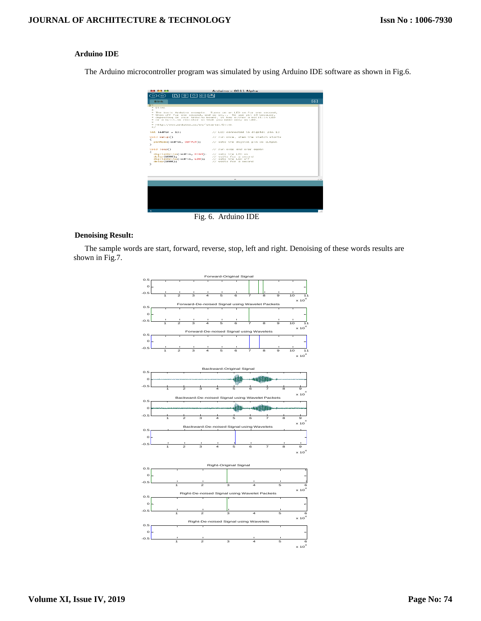# **Arduino IDE**

The Arduino microcontroller program was simulated by using Arduino IDE software as shown in Fig.6.



Fig. 6. Arduino IDE

## **Denoising Result:**

The sample words are start, forward, reverse, stop, left and right. Denoising of these words results are shown in Fig.7.